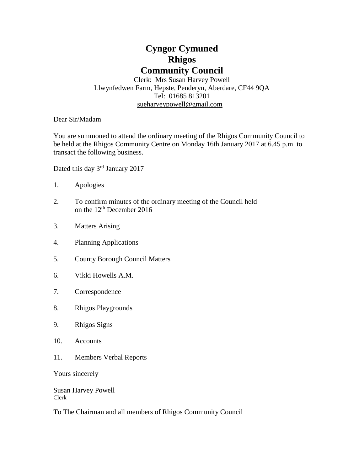# **Cyngor Cymuned Rhigos Community Council**

Clerk: Mrs Susan Harvey Powell Llwynfedwen Farm, Hepste, Penderyn, Aberdare, CF44 9QA Tel: 01685 813201 [sueharveypowell@g](mailto:sharveypowell@comin-infants.co.uk)mail.com

Dear Sir/Madam

You are summoned to attend the ordinary meeting of the Rhigos Community Council to be held at the Rhigos Community Centre on Monday 16th January 2017 at 6.45 p.m. to transact the following business.

Dated this day 3<sup>rd</sup> January 2017

- 1. Apologies
- 2. To confirm minutes of the ordinary meeting of the Council held on the 12<sup>th</sup> December 2016
- 3. Matters Arising
- 4. Planning Applications
- 5. County Borough Council Matters
- 6. Vikki Howells A.M.
- 7. Correspondence
- 8. Rhigos Playgrounds
- 9. Rhigos Signs
- 10. Accounts
- 11. Members Verbal Reports

Yours sincerely

Susan Harvey Powell Clerk

To The Chairman and all members of Rhigos Community Council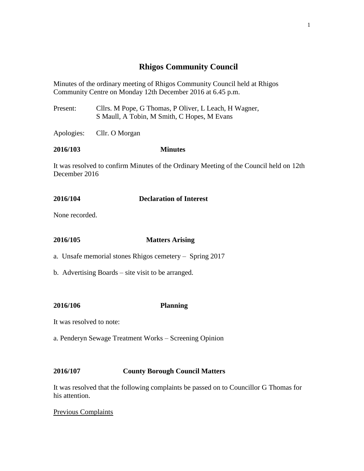# **Rhigos Community Council**

Minutes of the ordinary meeting of Rhigos Community Council held at Rhigos Community Centre on Monday 12th December 2016 at 6.45 p.m.

Present: Cllrs. M Pope, G Thomas, P Oliver, L Leach, H Wagner, S Maull, A Tobin, M Smith, C Hopes, M Evans

Apologies: Cllr. O Morgan

#### **2016/103 Minutes**

It was resolved to confirm Minutes of the Ordinary Meeting of the Council held on 12th December 2016

# **2016/104 Declaration of Interest**

None recorded.

### **2016/105 Matters Arising**

a. Unsafe memorial stones Rhigos cemetery – Spring 2017

b. Advertising Boards – site visit to be arranged.

## **2016/106 Planning**

- It was resolved to note:
- a. Penderyn Sewage Treatment Works Screening Opinion

## **2016/107 County Borough Council Matters**

It was resolved that the following complaints be passed on to Councillor G Thomas for his attention.

## Previous Complaints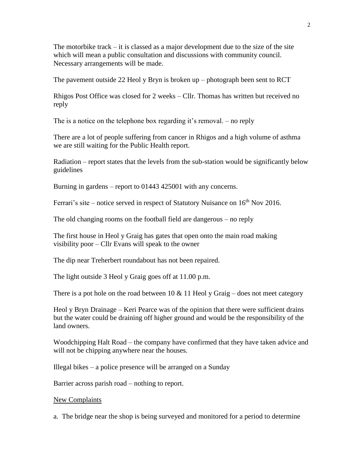The motorbike track  $-$  it is classed as a major development due to the size of the site which will mean a public consultation and discussions with community council. Necessary arrangements will be made.

The pavement outside 22 Heol y Bryn is broken up – photograph been sent to RCT

Rhigos Post Office was closed for 2 weeks – Cllr. Thomas has written but received no reply

The is a notice on the telephone box regarding it's removal. – no reply

There are a lot of people suffering from cancer in Rhigos and a high volume of asthma we are still waiting for the Public Health report.

Radiation – report states that the levels from the sub-station would be significantly below guidelines

Burning in gardens – report to 01443 425001 with any concerns.

Ferrari's site – notice served in respect of Statutory Nuisance on  $16<sup>th</sup>$  Nov 2016.

The old changing rooms on the football field are dangerous – no reply

The first house in Heol y Graig has gates that open onto the main road making visibility poor – Cllr Evans will speak to the owner

The dip near Treherbert roundabout has not been repaired.

The light outside 3 Heol y Graig goes off at 11.00 p.m.

There is a pot hole on the road between 10  $& 11$  Heol y Graig – does not meet category

Heol y Bryn Drainage – Keri Pearce was of the opinion that there were sufficient drains but the water could be draining off higher ground and would be the responsibility of the land owners.

Woodchipping Halt Road – the company have confirmed that they have taken advice and will not be chipping anywhere near the houses.

Illegal bikes – a police presence will be arranged on a Sunday

Barrier across parish road – nothing to report.

#### New Complaints

a. The bridge near the shop is being surveyed and monitored for a period to determine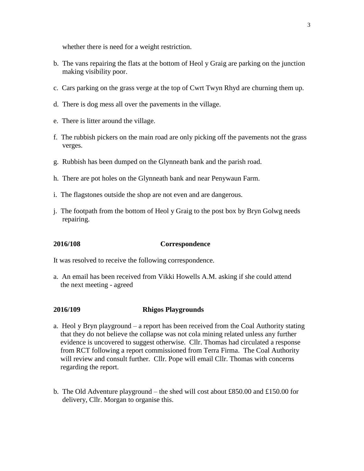whether there is need for a weight restriction.

- b. The vans repairing the flats at the bottom of Heol y Graig are parking on the junction making visibility poor.
- c. Cars parking on the grass verge at the top of Cwrt Twyn Rhyd are churning them up.
- d. There is dog mess all over the pavements in the village.
- e. There is litter around the village.
- f. The rubbish pickers on the main road are only picking off the pavements not the grass verges.
- g. Rubbish has been dumped on the Glynneath bank and the parish road.
- h. There are pot holes on the Glynneath bank and near Penywaun Farm.
- i. The flagstones outside the shop are not even and are dangerous.
- j. The footpath from the bottom of Heol y Graig to the post box by Bryn Golwg needs repairing.

#### **2016/108 Correspondence**

It was resolved to receive the following correspondence.

a. An email has been received from Vikki Howells A.M. asking if she could attend the next meeting - agreed

#### **2016/109 Rhigos Playgrounds**

- a. Heol y Bryn playground a report has been received from the Coal Authority stating that they do not believe the collapse was not cola mining related unless any further evidence is uncovered to suggest otherwise. Cllr. Thomas had circulated a response from RCT following a report commissioned from Terra Firma. The Coal Authority will review and consult further. Cllr. Pope will email Cllr. Thomas with concerns regarding the report.
- b. The Old Adventure playground the shed will cost about £850.00 and £150.00 for delivery, Cllr. Morgan to organise this.